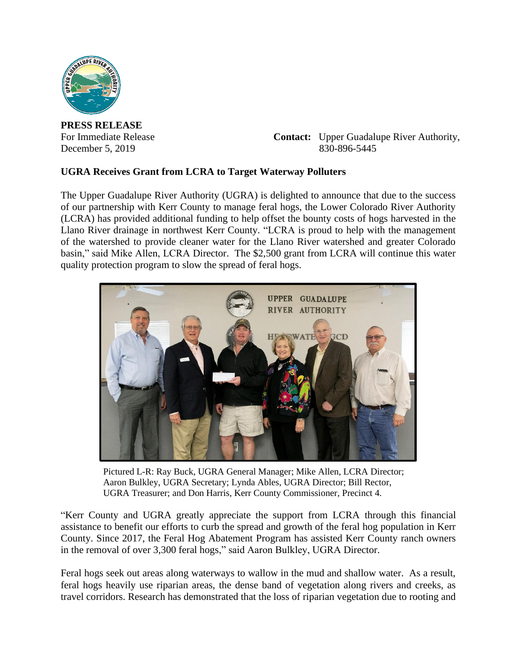

**PRESS RELEASE**

For Immediate Release **Contact:** Upper Guadalupe River Authority, December 5, 2019 830-896-5445

## **UGRA Receives Grant from LCRA to Target Waterway Polluters**

The Upper Guadalupe River Authority (UGRA) is delighted to announce that due to the success of our partnership with Kerr County to manage feral hogs, the Lower Colorado River Authority (LCRA) has provided additional funding to help offset the bounty costs of hogs harvested in the Llano River drainage in northwest Kerr County. "LCRA is proud to help with the management of the watershed to provide cleaner water for the Llano River watershed and greater Colorado basin," said Mike Allen, LCRA Director. The \$2,500 grant from LCRA will continue this water quality protection program to slow the spread of feral hogs.



Pictured L-R: Ray Buck, UGRA General Manager; Mike Allen, LCRA Director; Aaron Bulkley, UGRA Secretary; Lynda Ables, UGRA Director; Bill Rector, UGRA Treasurer; and Don Harris, Kerr County Commissioner, Precinct 4.

"Kerr County and UGRA greatly appreciate the support from LCRA through this financial assistance to benefit our efforts to curb the spread and growth of the feral hog population in Kerr County. Since 2017, the Feral Hog Abatement Program has assisted Kerr County ranch owners in the removal of over 3,300 feral hogs," said Aaron Bulkley, UGRA Director.

Feral hogs seek out areas along waterways to wallow in the mud and shallow water. As a result, feral hogs heavily use riparian areas, the dense band of vegetation along rivers and creeks, as travel corridors. Research has demonstrated that the loss of riparian vegetation due to rooting and